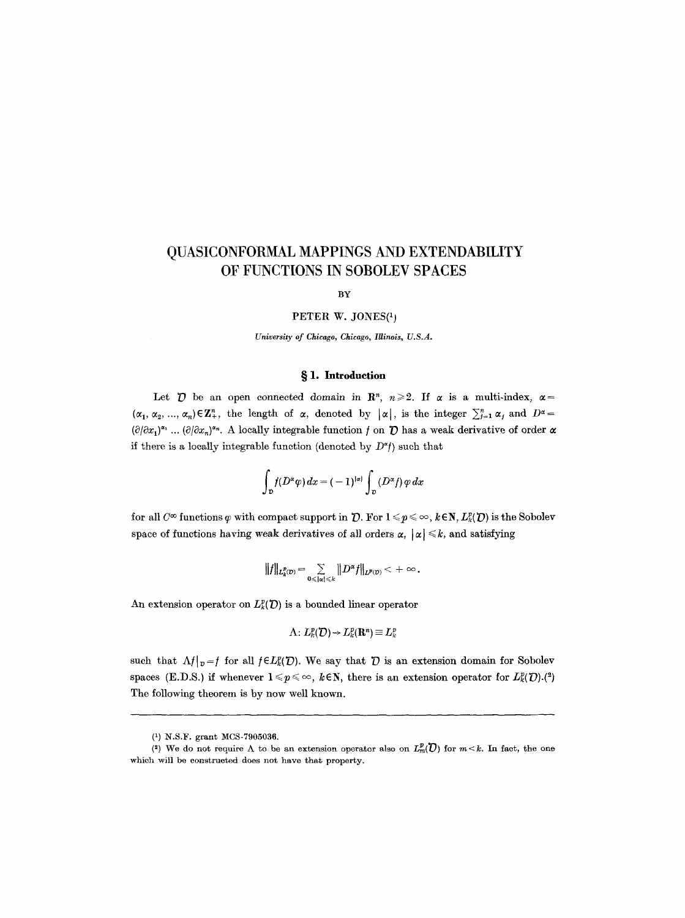# **QUASICONFORMAL MAPPINGS AND EXTENDABILITY OF FUNCTIONS IN SOBOLEV SPACES**

BY

#### PETER W. JONES $(1)$

*University of Chicago, Chicago, Illinois, U.S.A.* 

# § 1. Introduction

Let  $\mathcal D$  be an open connected domain in  $\mathbb R^n$ ,  $n \geq 2$ . If  $\alpha$  is a multi-index,  $\alpha =$  $(\alpha_1, \alpha_2, ..., \alpha_n) \in \mathbb{Z}_+^n$ , the length of  $\alpha$ , denoted by  $|\alpha|$ , is the integer  $\sum_{j=1}^n \alpha_j$  and  $D^{\alpha} =$  $(\partial/\partial x_1)^{x_1}$  ...  $(\partial/\partial x_n)^{x_n}$ . A locally integrable function f on **D** has a weak derivative of order  $\alpha$ if there is a locally integrable function (denoted by  $D^{\alpha}$ ) such that

$$
\int_{\mathcal{D}} f(D^{\alpha}\varphi) dx = (-1)^{|\alpha|} \int_{\mathcal{D}} (D^{\alpha} f) \varphi dx
$$

for all  $C^{\infty}$  functions  $\varphi$  with compact support in  $\mathcal{D}$ . For  $1 \leq \varphi \leq \infty$ ,  $k \in \mathbb{N}$ ,  $L_{k}^{p}(\mathcal{D})$  is the Sobolev space of functions having weak derivatives of all orders  $\alpha$ ,  $|\alpha| \leq k$ , and satisfying

$$
||f||_{L^p_k(\mathcal{D})} = \sum_{0 \leq |x| \leq k} ||D^\alpha f||_{L^{p}(\mathcal{D})} < +\infty.
$$

An extension operator on  $L^p_k(\mathcal{D})$  is a bounded linear operator

$$
\Lambda\colon L^p(\mathcal{D})\to L^p(\mathbf{R}^n)\equiv L^p_k
$$

such that  $\Lambda f|_{p}=f$  for all  $f\in L_{k}^{p}(\mathcal{D})$ . We say that  $\mathcal D$  is an extension domain for Sobolev spaces (E.D.S.) if whenever  $1 \leq p \leq \infty$ ,  $k \in \mathbb{N}$ , there is an extension operator for  $L_k^p(\mathcal{D})$ .(2) The following theorem is by now well known.

<sup>(1)</sup> N.S.F. grant MCS-7905036.

<sup>(2)</sup> We do not require  $\Lambda$  to be an extension operator also on  $L^p_m(\mathcal{D})$  for  $m < k$ . In fact, the one which will be constructed does not have that property.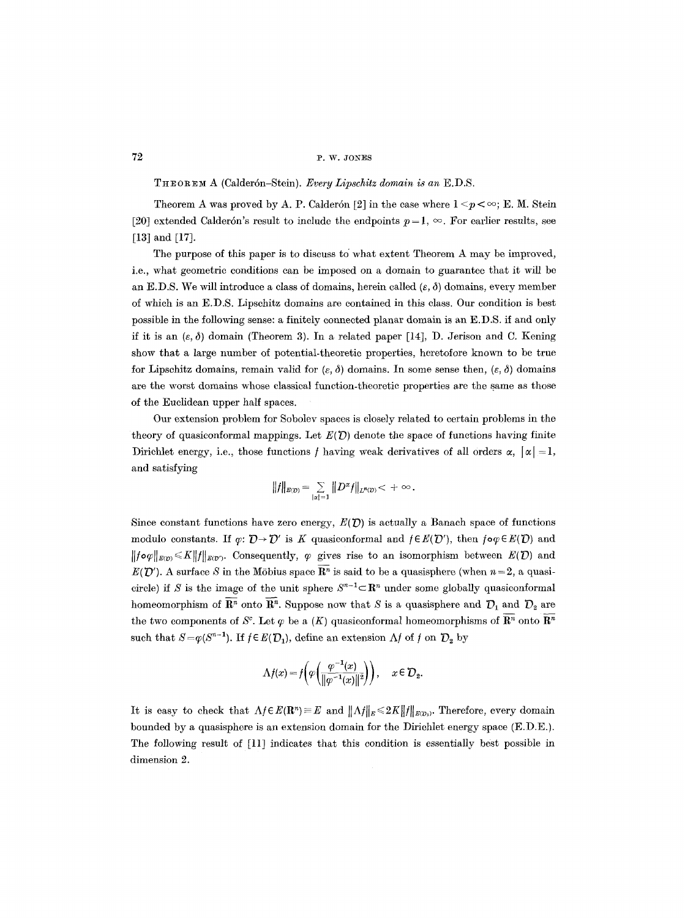THEOREM A (Calderón-Stein). *Every Lipschitz domain is an* E.D.S.

Theorem A was proved by A. P. Calderón [2] in the case where  $1 \le p \le \infty$ ; E. M. Stein [20] extended Calderón's result to include the endpoints  $p=1, \infty$ . For earlier results, see [13] and [17].

The purpose of this paper is to discuss to' what extent Theorem A may be improved, i.e., what geometric conditions can be imposed on a domain to guarantee that it will be an E.D.S. We will introduce a class of domains, herein called  $(\varepsilon, \delta)$  domains, every member of which is an E.D.S. Lipschitz domains are contained in this class. Our condition is best possible in the following sense: a finitely connected planar domain is an E.D.S. if and only if it is an  $(\varepsilon, \delta)$  domain (Theorem 3). In a related paper [14], D. Jerison and C. Kening show that a large number of potential-theoretic properties, heretofore known to be true for Lipschitz domains, remain valid for  $(\varepsilon, \delta)$  domains. In some sense then,  $(\varepsilon, \delta)$  domains are the worst domains whose classical function-theoretic properties are the same as those of the Euclidean upper half spaces.

Our extension problem for Sobolev spaces is closely related to certain problems in the theory of quasiconformal mappings. Let  $E(D)$  denote the space of functions having finite Dirichlet energy, i.e., those functions f having weak derivatives of all orders  $\alpha$ ,  $|\alpha| = 1$ , and satisfying

$$
||f||_{E(D)} = \sum_{|\alpha|=1} ||D^{\alpha}f||_{L^{n}(D)} < +\infty.
$$

Since constant functions have zero energy,  $E(D)$  is actually a Banach space of functions modulo constants. If  $\varphi: \mathcal{D} \to \mathcal{D}'$  is K quasiconformal and  $f \in E(\mathcal{D}')$ , then  $f \circ \varphi \in E(\mathcal{D})$  and  $||f\circ\varphi||_{E(p)} \leq K||f||_{E(p)}$ . Consequently,  $\varphi$  gives rise to an isomorphism between  $E(\mathcal{D})$  and  $E(\mathcal{D}')$ . A surface S in the Möbius space  $\mathbf{R}^n$  is said to be a quasisphere (when  $n=2$ , a quasicircle) if S is the image of the unit sphere  $S^{n-1} \subset \mathbb{R}^n$  under some globally quasiconformal homeomorphism of  $\overline{\mathbb{R}^n}$  onto  $\overline{\mathbb{R}^n}$ . Suppose now that S is a quasisphere and  $\mathcal{D}_1$  and  $\mathcal{D}_2$  are the two components of  $S^c$ . Let  $\varphi$  be a  $(K)$  quasiconformal homeomorphisms of  $\mathbf{R}^n$  onto  $\mathbf{R}^n$ such that  $S=\varphi(S^{n-1})$ . If  $f\in E(\mathcal{D}_1)$ , define an extension  $\Lambda f$  of f on  $\mathcal{D}_2$  by

$$
\Lambda f(x)=f\bigg(\varphi\bigg(\frac{\varphi^{-1}(x)}{\|\varphi^{-1}(x)\|^2}\bigg)\bigg),\quad \, x\in\mathcal{D}_2.
$$

It is easy to check that  $\Lambda f \in E(\mathbf{R}^n) \equiv E$  and  $||\Lambda f||_E \leq 2K||f||_{E(\mathcal{D}_1)}$ . Therefore, every domain bounded by a quasisphere is an extension domain for the Dirichlet energy space (E.D.E.). The following result of [11] indicates that this condition is essentially best possible in dimension 2.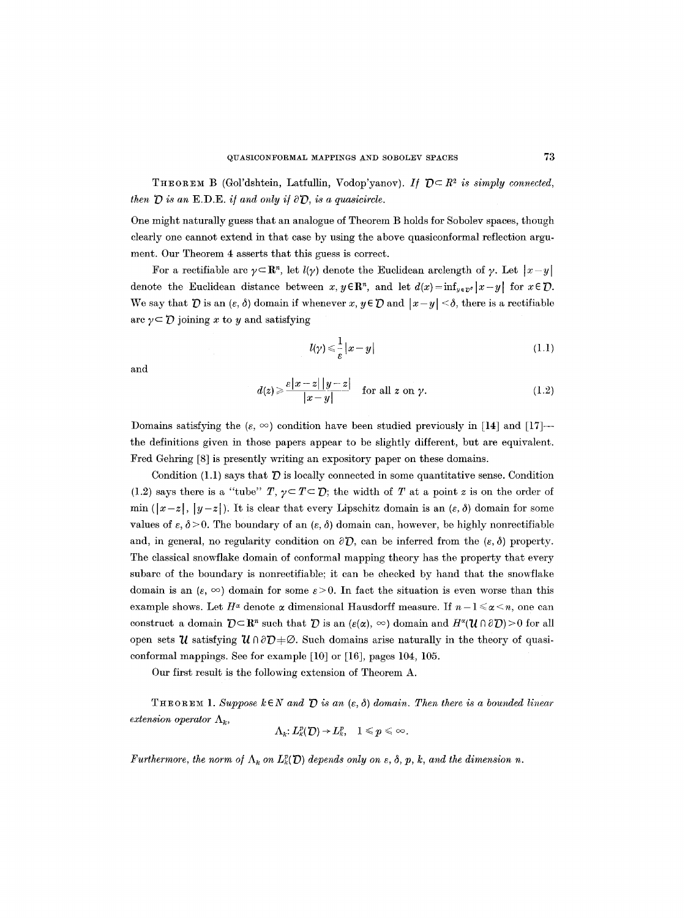THEOREM B (Gol'dshtein, Latfullin, Vodop'yanov). *If*  $D \subseteq R^2$  is simply connected, *then*  $\overline{D}$  *is an*  $E.D.E.$  *if and only if*  $\partial \overline{D}$ *, is a quasicircle.* 

One might naturally guess that an analogue of Theorem B holds for Sobolev spaces, though clearly one cannot extend in that case by using the above quasiconformal reflection argument. Our Theorem 4 asserts that this guess is correct.

For a rectifiable arc  $\gamma \subset \mathbb{R}^n$ , let  $l(\gamma)$  denote the Euclidean arclength of  $\gamma$ . Let  $|x-y|$ denote the Euclidean distance between  $x, y \in \mathbb{R}^n$ , and let  $d(x) = \inf_{y \in \mathbb{R}^n} |x-y|$  for  $x \in \mathcal{D}$ . We say that  $\bar{D}$  is an  $(\varepsilon, \delta)$  domain if whenever  $x, y \in \bar{D}$  and  $|x-y| < \delta$ , there is a rectifiable arc  $\gamma \subset \mathcal{D}$  joining x to y and satisfying

$$
l(\gamma) \leqslant \frac{1}{\varepsilon} |x - y| \tag{1.1}
$$

and

$$
d(z) \geqslant \frac{\varepsilon |x-z| |y-z|}{|x-y|} \quad \text{for all } z \text{ on } \gamma. \tag{1.2}
$$

Domains satisfying the  $(\varepsilon, \infty)$  condition have been studied previously in [14] and [17]--the definitions given in those papers appear to be slightly different, but are equivalent. Fred Gehring [8] is presently writing an expository paper on these domains.

Condition (1.1) says that  $\bar{D}$  is locally connected in some quantitative sense. Condition (1.2) says there is a "tube"  $T$ ,  $\gamma \subset T \subset \mathcal{D}$ ; the width of T at a point z is on the order of min  $(|x-z|, |y-z|)$ . It is clear that every Lipschitz domain is an  $(\varepsilon, \delta)$  domain for some values of  $\varepsilon$ ,  $\delta$  > 0. The boundary of an  $(\varepsilon, \delta)$  domain can, however, be highly nonrectifiable and, in general, no regularity condition on  $\partial \mathcal{D}$ , can be inferred from the  $(\varepsilon, \delta)$  property. The classical snowflake domain of conformal mapping theory has the property that every subarc of the boundary is nonrectifiable; it can be checked by hand that the snowflake domain is an  $(\varepsilon, \infty)$  domain for some  $\varepsilon > 0$ . In fact the situation is even worse than this example shows. Let  $H^{\alpha}$  denote  $\alpha$  dimensional Hausdorff measure. If  $n-1 \leq \alpha \leq n$ , one can construct a domain  $D \subset \mathbb{R}^n$  such that  $D$  is an  $(e(\alpha), \infty)$  domain and  $H^*(\mathcal{U} \cap \partial D) > 0$  for all open sets  $\mathcal{U}$  satisfying  $\mathcal{U} \cap \partial \mathcal{D} + \emptyset$ . Such domains arise naturally in the theory of quasiconformal mappings. See for example [10] or [16], pages 104, 105.

Our first result is the following extension of Theorem A.

THEOREM 1. Suppose  $k \in N$  and  $\hat{D}$  is an  $(\varepsilon, \delta)$  domain. Then there is a bounded linear *extension operator*  $\Lambda_k$ ,

$$
\Lambda_k: L_k^p(\mathcal{D})\to L_k^p,\quad 1\leqslant p\leqslant \infty.
$$

*Furthermore, the norm of*  $\Lambda_k$  on  $L_k^p(D)$  depends only on  $\varepsilon$ ,  $\delta$ ,  $p$ ,  $k$ , and the dimension n.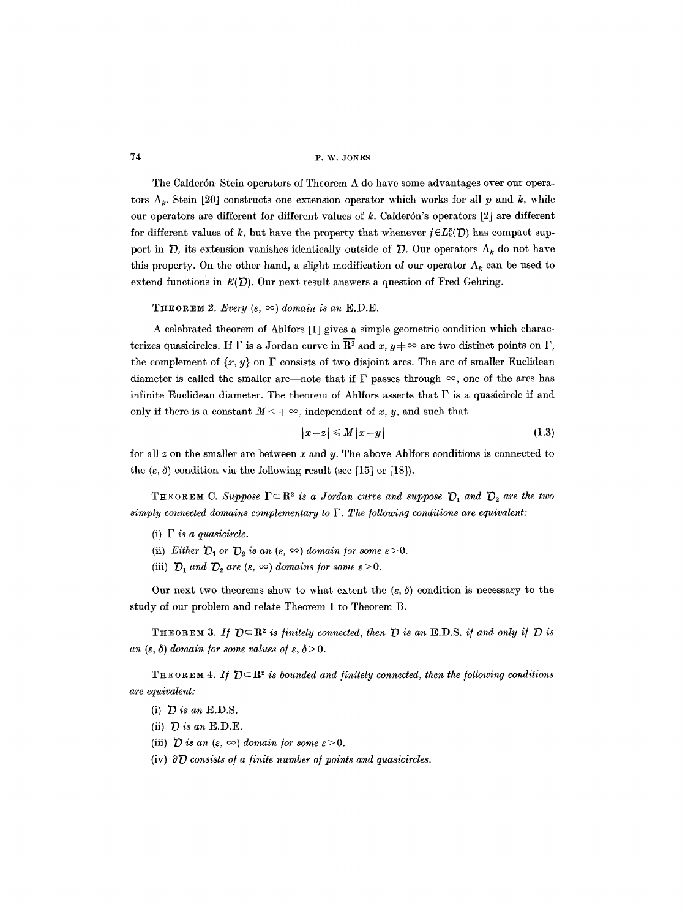The Calderdn-Stein operators of Theorem A do have some advantages over our operators  $\Lambda_k$ . Stein [20] constructs one extension operator which works for all p and k, while our operators are different for different values of  $k$ . Calderón's operators  $[2]$  are different for different values of k, but have the property that whenever  $f \in L_k^p(\mathcal{D})$  has compact support in  $\mathcal{D}$ , its extension vanishes identically outside of  $\mathcal{D}$ . Our operators  $\Lambda_k$  do not have this property. On the other hand, a slight modification of our operator  $\Lambda_k$  can be used to extend functions in  $E(D)$ . Our next result answers a question of Fred Gehring.

THEOREM 2. *Every*  $(\varepsilon, \infty)$  domain is an E.D.E.

A celebrated theorem of Ahlfors [1] gives a simple geometric condition which characterizes quasieircles. If  $\Gamma$  is a Jordan curve in  $\overline{\mathbf{R}^2}$  and x,  $y \neq \infty$  are two distinct points on  $\Gamma$ , the complement of  $\{x, y\}$  on  $\Gamma$  consists of two disjoint arcs. The arc of smaller Euclidean diameter is called the smaller arc--note that if  $\Gamma$  passes through  $\infty$ , one of the arcs has infinite Euclidean diameter. The theorem of Ahlfors asserts that  $\Gamma$  is a quasicircle if and only if there is a constant  $M < +\infty$ , independent of x, y, and such that

$$
|x-z| \leqslant M |x-y| \tag{1.3}
$$

for all  $z$  on the smaller arc between  $x$  and  $y$ . The above Ahlfors conditions is connected to the  $(\varepsilon, \delta)$  condition via the following result (see [15] or [18]).

THEOREM C. Suppose  $\Gamma \subset \mathbb{R}^2$  *is a Jordan curve and suppose*  $\mathcal{D}_1$  *and*  $\mathcal{D}_2$  *are the two*  $simplify$  connected domains complementary to  $\Gamma$ . The following conditions are equivalent:

- $(i)$   $\Gamma$  *is a quasicircle.*
- (ii) *Either*  $D_1$  or  $D_2$  *is an*  $(\varepsilon, \infty)$  *domain for some*  $\varepsilon > 0$ *.*
- (iii)  $D_1$  *and*  $D_2$  *are* ( $\varepsilon$ ,  $\infty$ ) *domains for some*  $\varepsilon > 0$ .

Our next two theorems show to what extent the  $(\varepsilon, \delta)$  condition is necessary to the study of our problem and relate Theorem 1 to Theorem B.

THEOREM 3. If  $D \subset \mathbb{R}^2$  is finitely connected, then  $D$  is an E.D.S. if and only if  $D$  is *an* ( $\varepsilon$ ,  $\delta$ ) domain for some values of  $\varepsilon$ ,  $\delta$  > 0.

**THEOREM 4.** If  $D \subseteq \mathbb{R}^2$  is bounded and finitely connected, then the following conditions *are equivalent:* 

- (i)  $D$  is an E.D.S.
- (ii)  $D$  is an E.D.E.
- (iii)  $\mathcal D$  *is an* ( $\varepsilon$ ,  $\infty$ ) *domain for some*  $\varepsilon > 0$ .
- (iv)  $\partial \mathcal{D}$  consists of a finite number of points and quasicircles.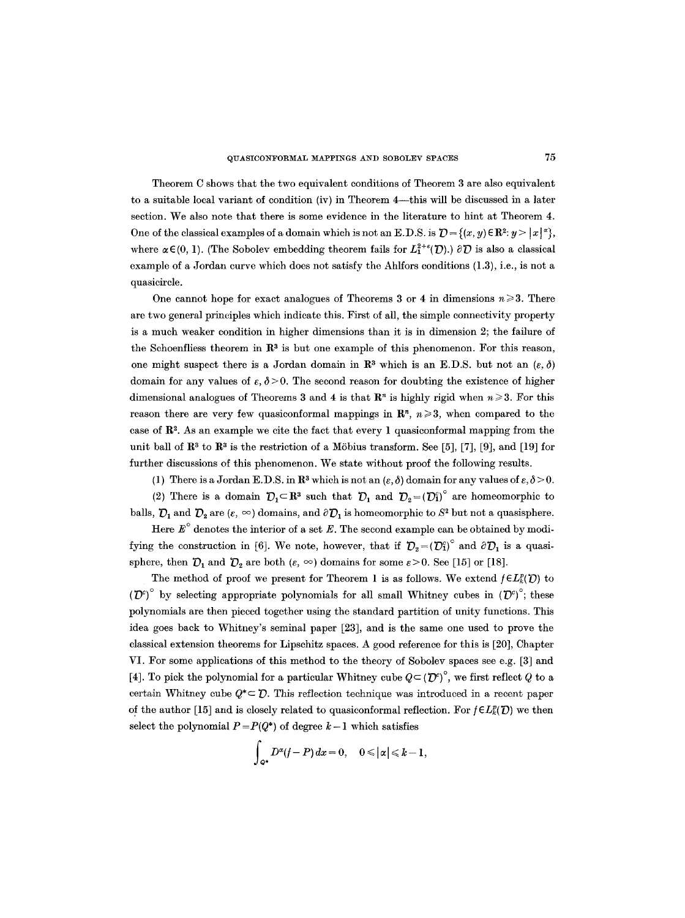Theorem C shows that the two equivalent conditions of Theorem 3 are also equivalent to a suitable local variant of condition (iv) in Theorem  $4$ —this will be discussed in a later section. We also note that there is some evidence in the literature to hint at Theorem 4. One of the classical examples of a domain which is not an E.D.S. is  $\mathcal{D} = \{(x, y) \in \mathbb{R}^2 : y > |x|^2\}$ , where  $\alpha \in (0, 1)$ . (The Sobolev embedding theorem fails for  $L_1^{2+\epsilon}(\mathcal{D})$ .)  $\partial \mathcal{D}$  is also a classical example of a Jordan curve which does not satisfy the Ahlfors conditions (1.3), i.e., is not a quasicircle.

One cannot hope for exact analogues of Theorems 3 or 4 in dimensions  $n \geq 3$ . There are two general principles which indicate this. First of all, the simple connectivity property is a much weaker condition in higher dimensions than it is in dimension 2; the failure of the Schoenfliess theorem in  $\mathbb{R}^3$  is but one example of this phenomenon. For this reason, one might suspect there is a Jordan domain in  $\mathbb{R}^3$  which is an E.D.S. but not an  $(\varepsilon, \delta)$ domain for any values of  $\varepsilon$ ,  $\delta$  > 0. The second reason for doubting the existence of higher dimensional analogues of Theorems 3 and 4 is that  $\mathbb{R}^n$  is highly rigid when  $n \geq 3$ . For this reason there are very few quasiconformal mappings in  $\mathbb{R}^n$ ,  $n \geq 3$ , when compared to the case of  $\mathbb{R}^2$ . As an example we cite the fact that every 1 quasiconformal mapping from the unit ball of  $\mathbb{R}^3$  to  $\mathbb{R}^3$  is the restriction of a Möbius transform. See [5], [7], [9], and [19] for further discussions of this phenomenon. We state without proof the following results.

(1) There is a Jordan E.D.S. in  $\mathbb{R}^3$  which is not an  $(\varepsilon, \delta)$  domain for any values of  $\varepsilon, \delta > 0$ .

(2) There is a domain  $\mathcal{D}_1 \subset \mathbb{R}^3$  such that  $\mathcal{D}_1$  and  $\mathcal{D}_2 = (\mathcal{D}_1^c)^\circ$  are homeomorphic to balls,  $\mathcal{D}_1$  and  $\mathcal{D}_2$  are  $(\varepsilon, \infty)$  domains, and  $\partial \mathcal{D}_1$  is homeomorphic to  $S^2$  but not a quasisphere.

Here  $E^{\circ}$  denotes the interior of a set E. The second example can be obtained by modifying the construction in [6]. We note, however, that if  $\mathcal{D}_2 = (\mathcal{D}_1^c)^\circ$  and  $\partial \mathcal{D}_1$  is a quasisphere, then  $\mathcal{D}_1$  and  $\mathcal{D}_2$  are both  $(\varepsilon, \infty)$  domains for some  $\varepsilon > 0$ . See [15] or [18].

The method of proof we present for Theorem 1 is as follows. We extend  $f \in L_k^p(D)$  to  $(\mathcal{D}^e)^\circ$  by selecting appropriate polynomials for all small Whitney cubes in  $(\mathcal{D}^e)^\circ$ ; these polynomials are then pieced together using the standard partition of unity functions. This idea goes back to Whitney's seminal paper [23], and is the same one used to prove the classical extension theorems for Lipschitz spaces. A good reference for this is [20], Chapter VI. For some applications of this method to the theory of Sobolev spaces see e.g. [3] and [4]. To pick the polynomial for a particular Whitney cube  $Q=(\mathcal{D}^c)^c$ , we first reflect Q to a certain Whitney cube  $Q^* \subset \mathcal{D}$ . This reflection technique was introduced in a recent paper of the author [15] and is closely related to quasiconformal reflection. For  $f \in L_k^p(D)$  we then select the polynomial  $P = P(Q^*)$  of degree  $k-1$  which satisfies

$$
\int_{\mathcal{Q}^*} D^{\alpha}(f-P) dx = 0, \quad 0 \leq |\alpha| \leq k-1,
$$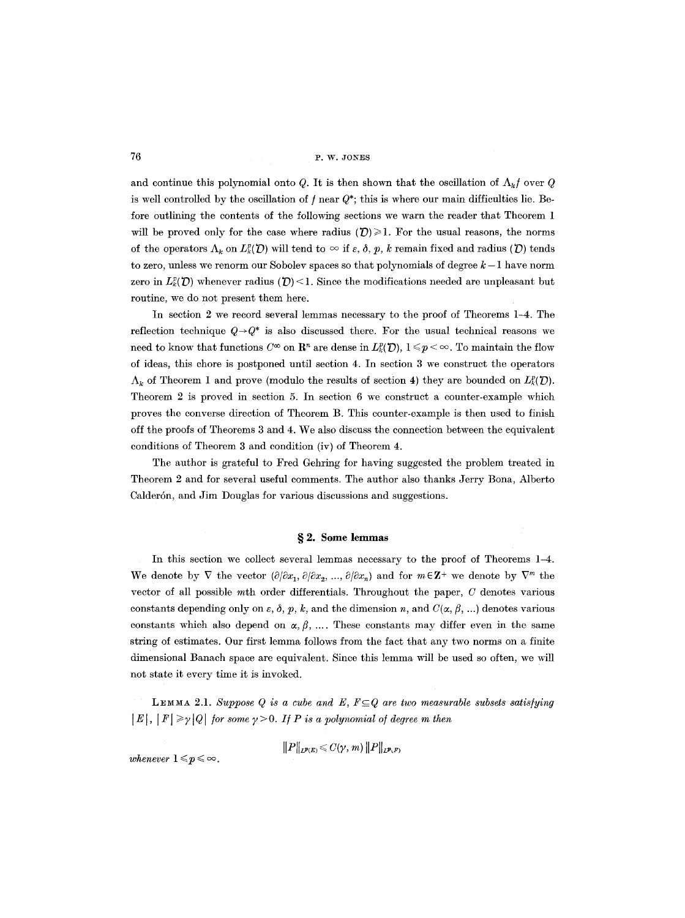and continue this polynomial onto Q. It is then shown that the oscillation of  $\Lambda_k f$  over Q is well controlled by the oscillation of  $f$  near  $Q^*$ ; this is where our main difficulties lie. Before outlining the contents of the following sections we warn the reader that Theorem 1 will be proved only for the case where radius  $(D) \ge 1$ . For the usual reasons, the norms of the operators  $\Lambda_k$  on  $L_k^p(D)$  will tend to  $\infty$  if  $\varepsilon$ ,  $\delta$ ,  $p$ ,  $k$  remain fixed and radius ( $D$ ) tends to zero, unless we renorm our Sobolev spaces so that polynomials of degree  $k-1$  have norm zero in  $L_{\kappa}^{p}(\mathcal{D})$  whenever radius  $(\mathcal{D})$  < 1. Since the modifications needed are unpleasant but routine, we do not present them here.

In section 2 we record several lemmas necessary to the proof of Theorems 1-4. The reflection technique  $Q \rightarrow Q^*$  is also discussed there. For the usual technical reasons we need to know that functions  $C^{\infty}$  on  $\mathbb{R}^{n}$  are dense in  $L_{k}^{p}(\mathcal{D}), 1 \leq p < \infty$ . To maintain the flow of ideas, this chore is postponed until section 4. In section 3 we construct the operators  $\Lambda_k$  of Theorem 1 and prove (modulo the results of section 4) they are bounded on  $L_k^p(D)$ . Theorem 2 is proved in section 5. In section 6 we construct a counter-example which proves the converse direction of Theorem B. This counter-example is then used to finish off the proofs of Theorems 3 and 4. We also discuss the connection between the equivalent conditions of Theorem 3 and condition (iv) of Theorem 4.

The author is grateful to Fred Gehring for having suggested the problem treated in Theorem 2 and for several useful comments. The author also thanks Jerry Bona, Alberto Calderón, and Jim Douglas for various discussions and suggestions.

#### § 2. Some lemmas

In this section we collect several lemmas necessary to the proof of Theorems 1-4. We denote by  $\nabla$  the vector  $(\partial/\partial x_1, \partial/\partial x_2, ..., \partial/\partial x_n)$  and for  $m \in \mathbb{Z}^+$  we denote by  $\nabla^m$  the vector of all possible  $m$ th order differentials. Throughout the paper,  $C$  denotes various constants depending only on  $\varepsilon$ ,  $\delta$ ,  $p$ ,  $k$ , and the dimension n, and  $C(\alpha, \beta, ...)$  denotes various constants which also depend on  $\alpha, \beta, \ldots$ . These constants may differ even in the same string of estimates. Our first lemma follows from the fact that any two norms on a finite dimensional Banach space are equivalent. Since this lemma will be used so often, we will not state it every time it is invoked.

LEMMA 2.1. Suppose Q is a cube and E,  $F \subseteq Q$  are two measurable subsets satisfying  $|E|, |F| \geq \gamma |Q|$  for some  $\gamma > 0$ . If P is a polynomial of degree m then

$$
\|P\|_{L^{p}(E)} \leqslant C(\gamma, m) \|P\|_{L^{p}(F)}
$$

*whenever*  $1 \leq p \leq \infty$ .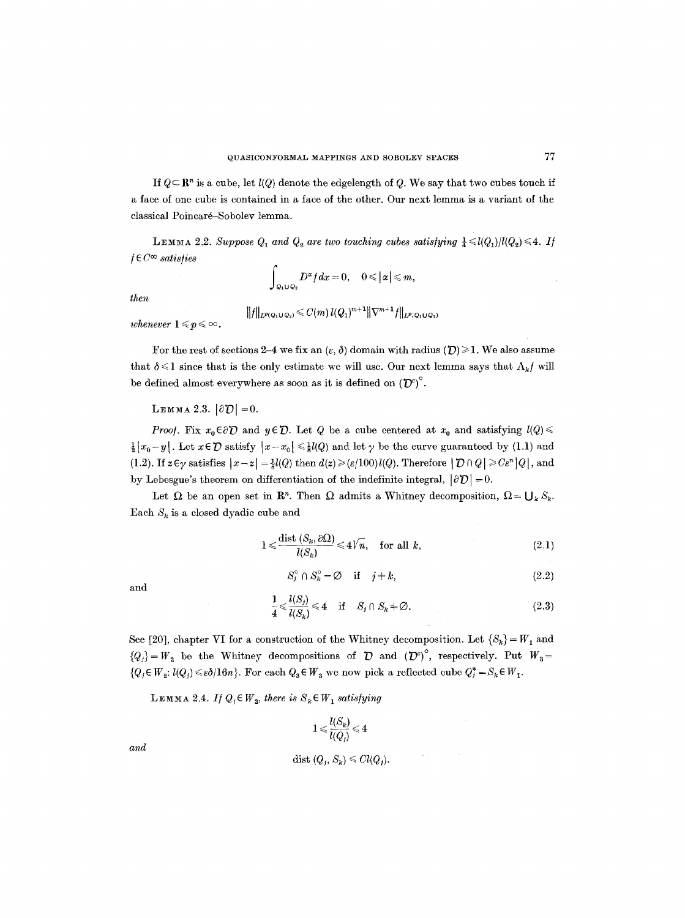If  $Q \subset \mathbb{R}^n$  is a cube, let  $l(Q)$  denote the edgelength of Q. We say that two cubes touch if a face of one cube is contained in a face of the other. Our next lemma is a variant of the classical Poincaré-Sobolev lemma.

LEMMA 2.2. Suppose  $Q_1$  and  $Q_2$  are two touching cubes satisfying  $\frac{1}{4} \le l(Q_1)/l(Q_2) \le 4$ . If */ E C ~ satisfies* 

$$
\int_{Q_1\cup Q_2} D^{\alpha} f dx = 0, \quad 0 \leq |\alpha| \leq m,
$$

*then* 

$$
||f||_{L^{p(Q_1\cup Q_2)}} \leqslant C(m) \, l(Q_1)^{m+1} ||\nabla^{m+1} f||_{L^{p(Q_1\cup Q_2)}}
$$

*whenever*  $1 \leq p \leq \infty$ .

For the rest of sections 2-4 we fix an  $(\varepsilon, \delta)$  domain with radius  $(\mathcal{D}) \geq 1$ . We also assume that  $\delta \leq 1$  since that is the only estimate we will use. Our next lemma says that  $\Lambda_k f$  will be defined almost everywhere as soon as it is defined on  $(D^c)^\circ$ .

# LEMMA 2.3.  $|\partial D|=0$ .

*Proof.* Fix  $x_0 \in \partial \mathcal{D}$  and  $y \in \mathcal{D}$ . Let Q be a cube centered at  $x_0$  and satisfying  $l(Q) \leq$  $\frac{1}{2}[x_0-y]$ . Let  $x \in \mathcal{D}$  satisfy  $|x-x_0| \leq \frac{1}{2}l(Q)$  and let  $\gamma$  be the curve guaranteed by (1.1) and (1.2). If  $z \in \gamma$  satisfies  $|x-z| = \frac{1}{2}l(Q)$  then  $d(z) \geq (\varepsilon/100)l(Q)$ . Therefore  $|D \cap Q| \geq C\varepsilon^{n} |Q|$ , and by Lebesgue's theorem on differentiation of the indefinite integral,  $|\partial D| = 0$ .

Let  $\Omega$  be an open set in  $\mathbb{R}^n$ . Then  $\Omega$  admits a Whitney decomposition,  $\Omega = \bigcup_k S_k$ . Each  $S_k$  is a closed dyadic cube and

$$
1 \leq \frac{\text{dist}\left(S_k, \partial \Omega\right)}{l(S_k)} \leq 4\sqrt{n}, \quad \text{for all } k,\tag{2.1}
$$

$$
\quad\text{and}\quad
$$

$$
S_j^{\circ} \cap S_k^{\circ} = \varnothing \quad \text{if} \quad j \neq k,\tag{2.2}
$$

$$
\frac{1}{4} \leq \frac{l(S_j)}{l(S_k)} \leq 4 \quad \text{if} \quad S_j \cap S_k \neq \emptyset. \tag{2.3}
$$

See [20], chapter VI for a construction of the Whitney decomposition. Let  $\{S_k\} = W_1$  and  ${Q_i} = W_2$  be the Whitney decompositions of  $\bar{D}$  and  ${(\bar{D}^c)}^{\circ}$ , respectively. Put  $W_3 =$  ${Q_j \in W_2: l(Q_j) \leq \varepsilon \delta/16n}$ . For each  $Q_3 \in W_3$  we now pick a reflected cube  $Q_j^* = S_k \in W_1$ .

LEMMA 2.4. *If*  $Q_i \in W_3$ , there is  $S_k \in W_1$  satisfying

$$
1 \leqslant \frac{l(S_k)}{l(Q_j)} \leqslant 4
$$
 
$$
\text{dist }(Q_j, S_k) \leqslant Cl(Q_j).
$$

*and* 

 $\mathcal{L}_{\mathcal{L}}$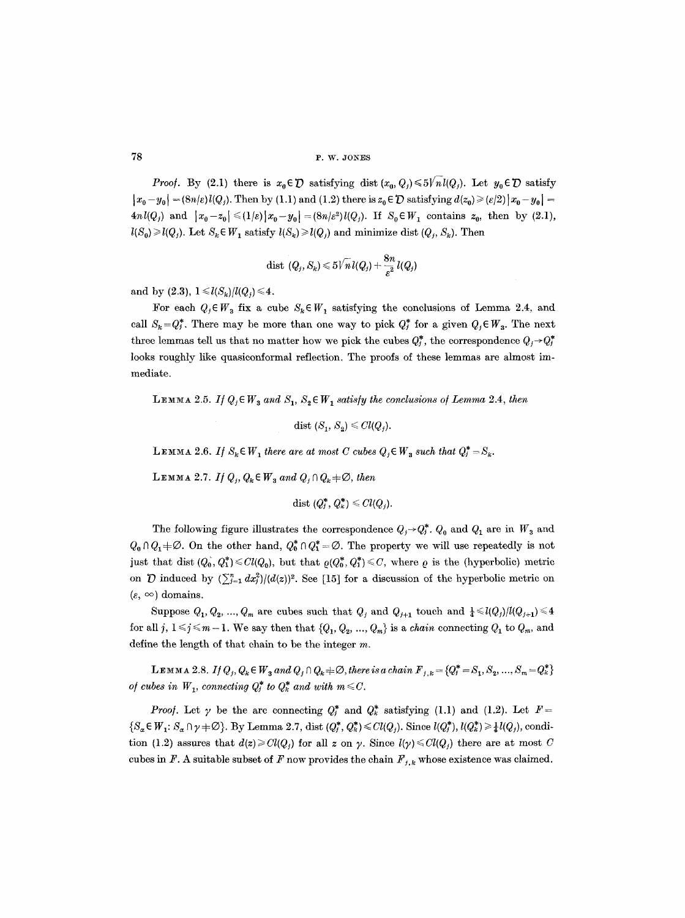*Proof.* By (2.1) there is  $x_0 \in \mathcal{D}$  satisfying dist  $(x_0, Q_i) \leq 5\sqrt{n}l(Q_i)$ . Let  $y_0 \in \mathcal{D}$  satisfy  $|x_0-y_0| = (8n/\varepsilon)l(Q_i)$ . Then by (1.1) and (1.2) there is  $z_0 \in \mathcal{D}$  satisfying  $d(z_0) \geq (\varepsilon/2) |x_0-y_0|$ *4nl(Q<sub>i</sub>)* and  $|x_0-z_0| \leq (1/\varepsilon)|x_0-y_0| = (8n/\varepsilon^2)l(Q_j)$ . If  $S_0 \in W_1$  contains  $z_0$ , then by (2.1),  $l(S_0) \geq l(Q_i)$ . Let  $S_k \in W_1$  satisfy  $l(S_k) \geq l(Q_i)$  and minimize dist  $(Q_i, S_k)$ . Then

$$
\mathrm{dist}\,\left(Q_j,S_k\right)\!\leqslant\! 5\widetilde{\big\langle n\,\mathcal{U}(Q_j)+\frac{8n}{\varepsilon^2} \,\mathcal{U}(Q_j)}\,
$$

and by (2.3),  $1 \le l(S_k)/l(Q_i) \le 4$ .

For each  $Q_i \in W_a$  fix a cube  $S_k \in W_i$ , satisfying the conclusions of Lemma 2.4, and call  $S_k = Q_i^*$ . There may be more than one way to pick  $Q_i^*$  for a given  $Q_i \in W_a$ . The next three lemmas tell us that no matter how we pick the cubes  $Q_i^*$ , the correspondence  $Q_i \rightarrow Q_i^*$ looks roughly like quasiconformal reflection. The proofs of these lemmas are almost immediate.

LEMMA 2.5. *If*  $Q_i \in W_3$  and  $S_1$ ,  $S_2 \in W_1$  satisfy the conclusions of Lemma 2.4, then

dist  $(S_1, S_2) \leq Cl(Q_i)$ .

**LEMMA 2.6.** *If*  $S_k \in W_1$  there are at most C cubes  $Q_j \in W_3$  such that  $Q_i^* = S_k$ .

LEMMA 2.7. *If*  $Q_i$ ,  $Q_k \in W_3$  and  $Q_i \cap Q_k \neq \emptyset$ , then

dist  $(Q_i^*, Q_k^*) \leq C l(Q_i)$ .

The following figure illustrates the correspondence  $Q_i \rightarrow Q_i^*$ .  $Q_0$  and  $Q_1$  are in  $W_3$  and  $Q_0 \cap Q_1 \neq \emptyset$ . On the other hand,  $Q_0^* \cap Q_1^* = \emptyset$ . The property we will use repeatedly is not just that dist  $(Q_0, Q_1^*) \leq Cl(Q_0)$ , but that  $\rho(Q_0^*, Q_1^*) \leq C$ , where  $\rho$  is the (hyperbolic) metric on  $\tilde{D}$  induced by  $(\sum_{i=1}^n dx_i^2)/(d(z))^2$ . See [15] for a discussion of the hyperbolic metric on  $(\varepsilon, \infty)$  domains.

Suppose  $Q_1, Q_2, ..., Q_m$  are cubes such that  $Q_j$  and  $Q_{j+1}$  touch and  $\frac{1}{4} \leq l(Q_j)/l(Q_{j+1}) \leq 4$ for all j,  $1 \le j \le m-1$ . We say then that  $\{Q_1, Q_2, ..., Q_m\}$  is a *chain* connecting  $Q_1$  to  $Q_m$ , and define the length of that chain to be the integer m.

**LEMMA** 2.8. If  $Q_j, Q_k \in W_3$  and  $Q_j \cap Q_k \neq \emptyset$ , there is a chain  $F_{j,k} = \{Q_j^* = S_1, S_2, ..., S_m = Q_k^*\}$ *of cubes in*  $W_1$ , *connecting*  $Q_i^*$  *to*  $Q_k^*$  *and with*  $m \leq C$ .

*Proof.* Let  $\gamma$  be the arc connecting  $Q_i^*$  and  $Q_k^*$  satisfying (1.1) and (1.2). Let  $F=$  $\{S_{\alpha} \in W_1: S_{\alpha} \cap \gamma \neq \emptyset\}$ . By Lemma 2.7, dist  $(Q_i^*, Q_k^*) \leq Cl(Q_i)$ . Since  $l(Q_i^*), l(Q_k^*) \geq \frac{1}{4}l(Q_i)$ , condition (1.2) assures that  $d(z) \geq C l(Q_i)$  for all z on  $\gamma$ . Since  $l(\gamma) \leq C l(Q_i)$  there are at most C cubes in F. A suitable subset of F now provides the chain  $F_{j,k}$  whose existence was claimed.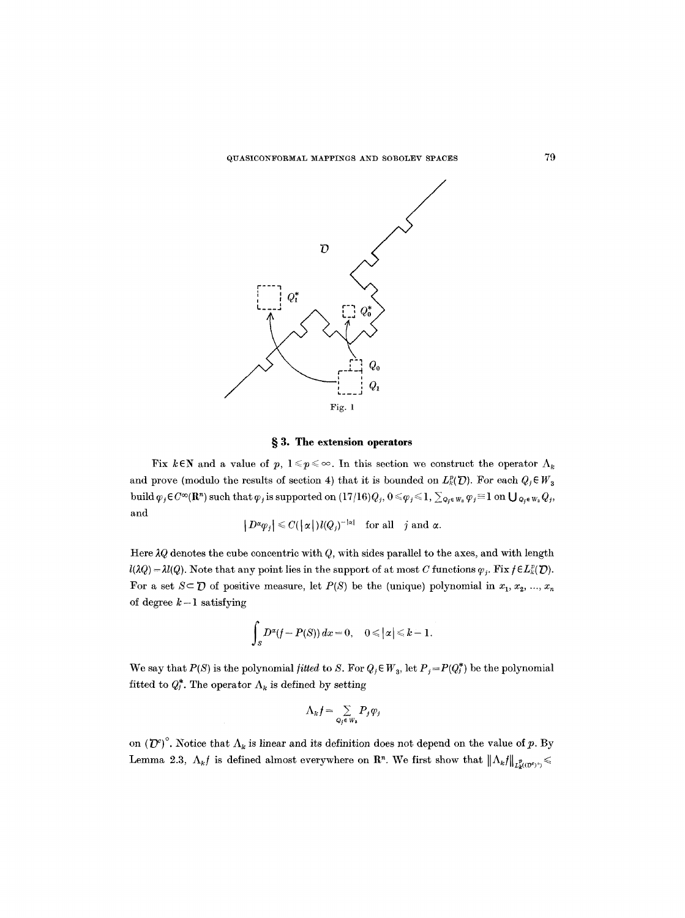

# **w 3. The extension operators**

Fix kEN and a value of p,  $1 \leq p \leq \infty$ . In this section we construct the operator  $\Lambda_k$ and prove (modulo the results of section 4) that it is bounded on  $L_k^p(\mathcal{D})$ . For each  $Q_j \in W_3$ build  $\varphi_j \in C^{\infty}(\mathbb{R}^n)$  such that  $\varphi_j$  is supported on  $(17/16) Q_j$ ,  $0 \leq \varphi_j \leq 1$ ,  $\sum_{Q_j \in W_3} \varphi_j \equiv 1$  on  $\bigcup_{Q_j \in W_3} Q_j$ , and

$$
|D^{\alpha}\varphi_j| \leqslant C(|\alpha|)l(Q_j)^{-|\alpha|} \quad \text{for all} \quad j \text{ and } \alpha.
$$

Here  $\lambda Q$  denotes the cube concentric with *Q*, with sides parallel to the axes, and with length  $l(\lambda Q) = \lambda l(Q)$ . Note that any point lies in the support of at most C functions  $\varphi_i$ . Fix  $f \in L^p(\mathcal{D})$ . For a set  $S \subset \mathcal{D}$  of positive measure, let  $P(S)$  be the (unique) polynomial in  $x_1, x_2, ..., x_n$ of degree  $k-1$  satisfying

$$
\int_{S} D^{\alpha}(f-P(S)) dx = 0, \quad 0 \leq |\alpha| \leq k-1.
$$

We say that  $P(S)$  is the polynomial *fitted* to S. For  $Q_j \in W_3$ , let  $P_j = P(Q_j^*)$  be the polynomial fitted to  $Q_i^*$ . The operator  $\Lambda_k$  is defined by setting

$$
\Lambda_k f = \sum_{Q_j \in W_3} P_j \varphi_j
$$

on  $({\cal D}^c)$ <sup>°</sup>. Notice that  $\Lambda_k$  is linear and its definition does not depend on the value of p. By Lemma 2.3,  $\Lambda_k f$  is defined almost everywhere on  $\mathbb{R}^n$ . We first show that  $\|\Lambda_k f\|_{L^p_{\kappa}((\mathcal{D}^0)^o)} \leq$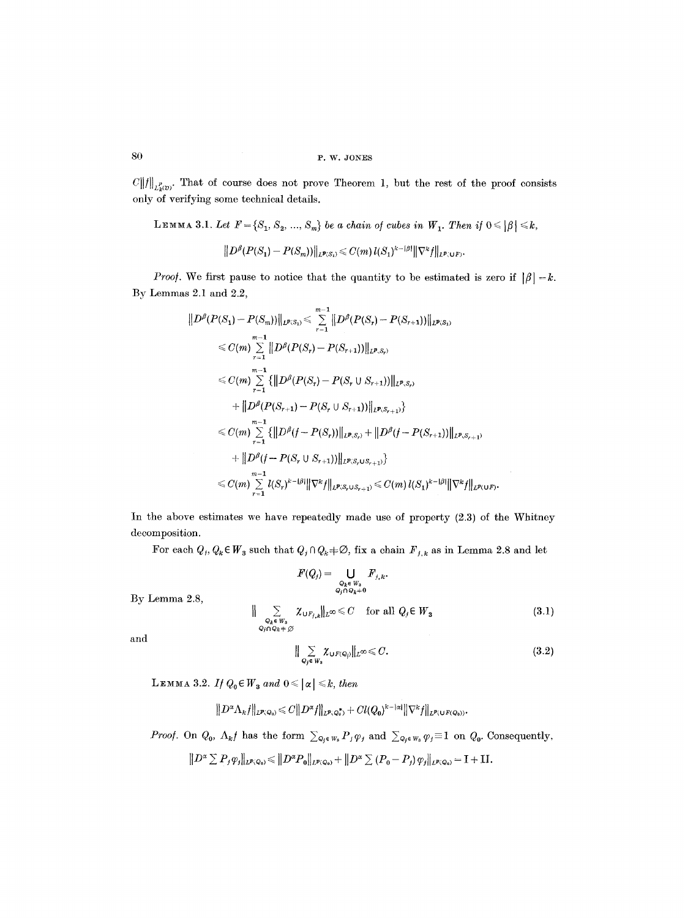$C\|f\|_{L^p_{\kappa}(D)}$ . That of course does not prove Theorem 1, but the rest of the proof consists **only of verifying some technical details.** 

**LEMMA 3.1.** Let  $F = \{S_1, S_2, ..., S_m\}$  be a chain of cubes in  $W_1$ . Then if  $0 \leq |\beta| \leq k$ ,

$$
||D^{\beta}(P(S_1)-P(S_m))||_{L^{p}(S_1)} \leq C(m) l(S_1)^{k-|\beta|} ||\nabla^k f||_{L^{p}(\mathsf{U} F)}.
$$

*Proof.* We first pause to notice that the quantity to be estimated is zero if  $|\beta| = k$ . **By Lemmas 2.1 and 2.2,** 

$$
\|D^{\beta}(P(S_1) - P(S_m))\|_{L^{p}(S_1)} \leq \sum_{r=1}^{m-1} \|D^{\beta}(P(S_r) - P(S_{r+1}))\|_{L^{p}(S_1)}
$$
  
\n
$$
\leq C(m) \sum_{r=1}^{m-1} \|D^{\beta}(P(S_r) - P(S_{r+1}))\|_{L^{p}(S_r)}
$$
  
\n
$$
\leq C(m) \sum_{r=1}^{m-1} \{ \|D^{\beta}(P(S_r) - P(S_r \cup S_{r+1}))\|_{L^{p}(S_r)}
$$
  
\n
$$
+ \|D^{\beta}(P(S_{r+1}) - P(S_r \cup S_{r+1}))\|_{L^{p}(S_{r+1})} \}
$$
  
\n
$$
\leq C(m) \sum_{r=1}^{m-1} \{ \|D^{\beta}(f - P(S_r))\|_{L^{p}(S_r)} + \|D^{\beta}(f - P(S_{r+1}))\|_{L^{p}(S_{r+1})}
$$
  
\n
$$
+ \|D^{\beta}(f - P(S_r \cup S_{r+1}))\|_{L^{p}(S_r \cup S_{r+1})} \}
$$
  
\n
$$
\leq C(m) \sum_{r=1}^{m-1} l(S_r)^{k - |\beta|} \|\nabla^k f\|_{L^{p}(S_r \cup S_{r+1})} \leq C(m) l(S_1)^{k - |\beta|} \|\nabla^k f\|_{L^{p}(\cup F)}.
$$

**In the above estimates we have repeatedly made use of property (2.3) of the Whitney decomposition.** 

For each  $Q_i, Q_k \in W_3$  such that  $Q_i \cap Q_k \neq \emptyset$ , fix a chain  $F_{j,k}$  as in Lemma 2.8 and let

$$
F(Q_j) = \bigcup_{\substack{Q_k \in W_3 \\ Q_j \cap Q_k \neq 0}} F_{j,k}.
$$
  

$$
\|\sum_{\substack{Q_k \in W_3 \\ Q_j \cap Q_k \neq \emptyset}} \chi_{\cup F_{j,k}}\|_{L^{\infty}} \leq C \quad \text{for all } Q_j \in W_3
$$
 (3.1)

**and** 

**By Lemma 2.8,** 

$$
\|\sum_{Q_j\in W_3}\chi_{\cup F(Q_j)}\|_{L^\infty}\leq C.\tag{3.2}
$$

**LEMMA 3.2.** *If*  $Q_0 \in W_3$  and  $0 \leq |\alpha| \leq k$ , then

$$
||D^{\alpha}\Lambda_k f||_{L^{p}(\mathcal{Q}_0)} \leq C||D^{\alpha}f||_{L^{p}(\mathcal{Q}_0^*)} + Cl(Q_0)^{k-|\alpha|}||\nabla^k f||_{L^{p}(\mathsf{U} F(\mathcal{Q}_0))}.
$$

*Proof.* On  $Q_0$ ,  $\Lambda_k f$  has the form  $\sum_{Q_j \in W_3} P_j \varphi_j$  and  $\sum_{Q_j \in W_3} \varphi_j \equiv 1$  on  $Q_0$ . Consequently,

 $\|D^{\alpha}\sum P_j \varphi_j\|_{L^p(Q_0)} \leq \|D^{\alpha}P_0\|_{L^p(Q_0)} + \|D^{\alpha}\sum (P_0 - P_j) \varphi_j\|_{L^p(Q_0)} = I + II.$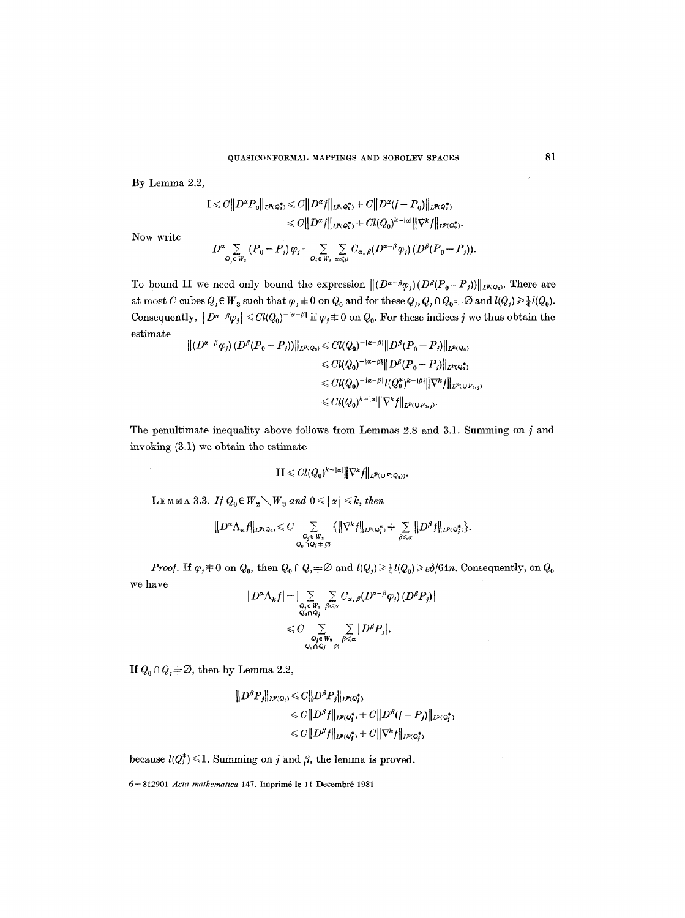By Lemma 2.2,

$$
\begin{aligned} \mathbf{I} &\leqslant C \|\mathbf{D}^{\alpha} \mathbf{P}_0 \|_{\mathbf{L}^{p}(\mathcal{Q}_0^\bullet)} \leqslant C \|\mathbf{D}^{\alpha} f \|_{\mathbf{L}^{p}(\mathcal{Q}_0^\bullet)} + C \|\mathbf{D}^{\alpha} (f - \mathbf{P}_0) \|_{\mathbf{L}^{p}(\mathcal{Q}_0^\bullet)} \\ &\leqslant C \|\mathbf{D}^{\alpha} f \|_{\mathbf{L}^{p}(\mathcal{Q}_0^\bullet)} + C l(Q_0)^{k - |\alpha|} \|\nabla^k f \|_{\mathbf{L}^{p}(\mathcal{Q}_0^\bullet)}. \end{aligned}
$$

Now write

$$
D^{\alpha}\sum_{Q_j \in W_3} (P_0 - P_j) \varphi_j = \sum_{Q_j \in W_3} \sum_{\alpha \leq \beta} C_{\alpha, \beta} (D^{\alpha-\beta} \varphi_j) (D^{\beta}(P_0 - P_j)).
$$

To bound II we need only bound the expression  $\|(D^{\alpha-\beta}\varphi_j)(D^{\beta}(P_0-P_j))\|_{L^{p}(Q_0)}$ . There are at most C cubes  $Q_j \in W_3$  such that  $\varphi_j \not\equiv 0$  on  $Q_0$  and for these  $Q_j, Q_j \cap Q_0 \not\equiv \emptyset$  and  $l(Q_j) \geq \frac{1}{4} l(Q_0)$ . Consequently,  $|D^{\alpha-\beta}\varphi_j| \leq C l(Q_0)^{-|\alpha-\beta|}$  if  $\varphi_j \not\equiv 0$  on  $Q_0$ . For these indices j we thus obtain the estimate

$$
\begin{aligned} \| (D^{\alpha-\beta}\varphi_j) \, (D^\beta (P_0 - P_j)) \|_{L^{p_i}Q_0} &\leq C l(Q_0)^{-|\alpha-\beta|} \| D^\beta (P_0 - P_j) \|_{L^{p_i}Q_0}, \\ &\leq C l(Q_0)^{-|\alpha-\beta|} \| D^\beta (P_0 - P_j) \|_{L^{p_i}Q_0^*}, \\ &\leq C l(Q_0)^{-|\alpha-\beta|} l(Q_0^*)^{k-|\beta|} \| \nabla^k f \|_{L^{p_i}(U F_0, f)} \\ &\leq C l(Q_0)^{k-|\alpha|} \| \nabla^k f \|_{L^{p_i}(U F_0, f)}. \end{aligned}
$$

The penultimate inequality above follows from Lemmas 2.8 and 3.1. Summing on  $j$  and invoking (3.1) we obtain the estimate

$$
\mathbf{II} \leq C l(Q_0)^{k-|\alpha|} \|\nabla^k f\|_{L^{p}(\mathbf{U} F(Q_0))}.
$$

LEMMA 3.3. *If*  $Q_0 \in W_2 \setminus W_3$  and  $0 \leq | \alpha | \leq k$ , then

$$
\big\| D^\alpha \Lambda_k f \big\|_{L^p(\mathsf{Q}_0)} \leqslant C \sum_{\substack{\mathsf{Q}_j \in W_8 \\ \mathsf{Q}_0 \cap \mathsf{Q}_j \neq \varnothing}} \big\{ \big\| \nabla^k f \big\|_{L^p(\mathsf{Q}_j^*)} + \sum_{\beta \leqslant \alpha} \big\| D^\beta f \big\|_{L^p(\mathsf{Q}_j^*)} \big\}.
$$

*Proof.* If  $\varphi_j \neq 0$  on  $Q_0$ , then  $Q_0 \cap Q_j \neq \emptyset$  and  $l(Q_j) \geq \frac{1}{4} l(Q_0) \geq \varepsilon \delta / 64n$ . Consequently, on  $Q_0$ we have

$$
|D^{\alpha}\Lambda_k f| = \left| \sum_{\substack{Q_j \in W_8 \\ Q_0 \cap Q_j}} \sum_{\beta \leq \alpha} C_{\alpha,\beta} (D^{\alpha-\beta}\varphi_j) (D^{\beta}P_j) \right|
$$
  

$$
\leq C \sum_{\substack{Q_j \in W_8 \\ Q_0 \cap Q_j + \varnothing}} \sum_{\beta \leq \alpha} |D^{\beta}P_j|.
$$

If  $Q_0 \cap Q_j \neq \emptyset$ , then by Lemma 2.2,

$$
\|D^{\beta}P_j\|_{L^{p}(\mathbb{Q}_0)} \leq C \|D^{\beta}P_j\|_{L^{p}(\mathbb{Q}_j^*)}
$$
  
\n
$$
\leq C \|D^{\beta}f\|_{L^{p}(\mathbb{Q}_j^*)} + C \|D^{\beta}(f-P_j)\|_{L^{p}(\mathbb{Q}_j^*)}
$$
  
\n
$$
\leq C \|D^{\beta}f\|_{L^{p}(\mathbb{Q}_j^*)} + C \|\nabla^k f\|_{L^{p}(\mathbb{Q}_j^*)}
$$

because  $l(Q_j^*) \leq 1$ . Summing on j and  $\beta$ , the lemma is proved.

6 - 812901 *Acta mathematica* 147. Imprim6 le 11 Decembr6 1981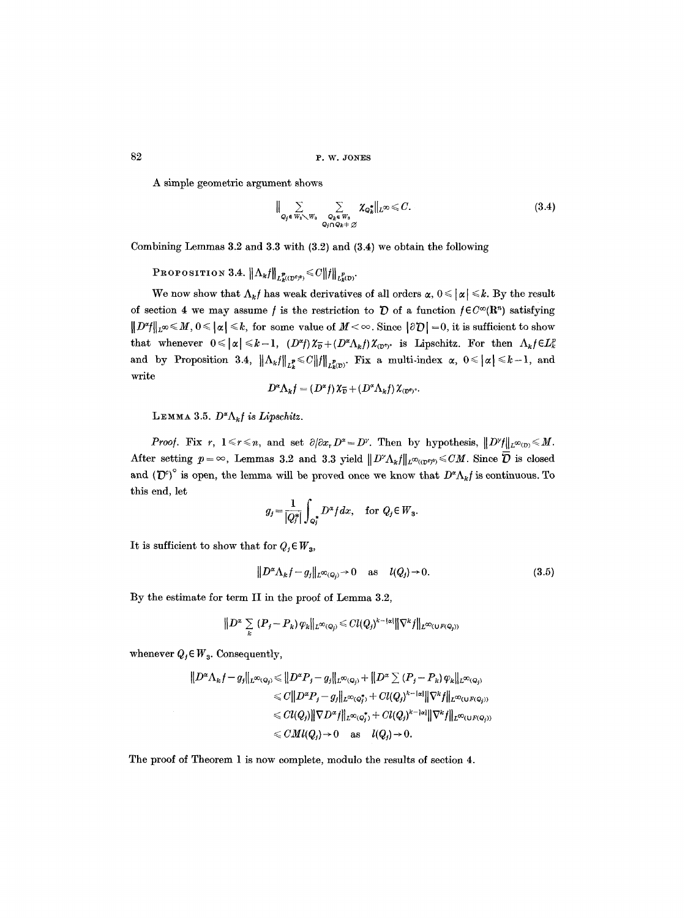A simple geometric argument shows

$$
\|\sum_{Q_j\in W_2\setminus W_3}\sum_{\substack{Q_k\in W_3\\Q_j\cap Q_k+\varnothing}}\chi_{Q_k^*}\|_{L^\infty}\leqslant C.\tag{3.4}
$$

Combining Lemmas 3.2 and 3.3 with (3.2) and (3.4) we obtain the following

**PROPOSITION 3.4.**  $\|\Lambda_k f\|_{L^p_{\nu}((D^{\sigma})^0)} \leq C \|f\|_{L^p_{\nu}(D)}$ .

We now show that  $\Lambda_k f$  has weak derivatives of all orders  $\alpha, 0 \leq \alpha \leq k$ . By the result of section 4 we may assume f is the restriction to  $\mathcal D$  of a function  $f \in C^{\infty}(\mathbb{R}^n)$  satisfying  $||D^*f||_{L^{\infty}} \leq M, 0 \leq |a| \leq k$ , for some value of  $M < \infty$ . Since  $|\partial D| = 0$ , it is sufficient to show that whenever  $0 \leq |\alpha| \leq k-1$ ,  $(D^{\alpha}f) \chi_{\overline{\nu}} + (D^{\alpha} \Lambda_k f) \chi_{(D^{\alpha})^{\alpha}}$  is Lipschitz. For then  $\Lambda_k f \in L_k^p$ and by Proposition 3.4,  $\|\Lambda_k f\|_{L^p_k} \leq C \|f\|_{L^p_k(\mathcal{D})}$ . Fix a multi-index  $\alpha, 0 \leq |\alpha| \leq k-1$ , and write

$$
D^{\alpha} \Lambda_k f = (D^{\alpha} f) \, \chi_{\overline{D}} + (D^{\alpha} \Lambda_k f) \, \chi_{(D^{\sigma})^{\alpha}}.
$$

LEMMA 3.5.  $D^{\alpha}\Lambda_k f$  is Lipschitz.

*Proof.* Fix *r*,  $1 \le r \le n$ , and set  $\partial/\partial x_r D^x = D^{\gamma}$ . Then by hypothesis,  $||D^{\gamma}||_{L^{\infty}(D)} \le M$ . After setting  $p = \infty$ , Lemmas 3.2 and 3.3 yield  $||D^{\gamma}\Lambda_kf||_{L^{\infty}((D^c)^0)} \leq C M$ . Since  $\overline{D}$  is closed and  $({\mathcal{D}}^c)$ <sup>°</sup> is open, the lemma will be proved once we know that  $D^{\alpha}\Lambda_k f$  is continuous. To this end, let

$$
g_j = \frac{1}{|Q_j^*|} \int_{Q_j^*} D^{\alpha} f dx, \quad \text{for } Q_j \in W_3.
$$

It is sufficient to show that for  $Q_i \in W_3$ ,

$$
||D^{\alpha}\Lambda_k f - g_j||_{L^{\infty}(Q_i)} \to 0 \quad \text{as} \quad l(Q_j) \to 0. \tag{3.5}
$$

By the estimate for term II in the proof of Lemma 3.2,

$$
\|D^{\alpha}\sum_{k}(P_{j}-P_{k})\varphi_{k}\|_{L^{\infty}(Q_{j})}\leq C l(Q_{j})^{k-|\alpha|}\|\nabla^{k}f\|_{L^{\infty}(U^{F}(Q_{j}))}
$$

whenever  $Q_i \in W_3$ . Consequently,

$$
\|D^{\alpha}\Lambda_{k}f-g_{j}\|_{L^{\infty}(Q_{j})} \leq \|D^{\alpha}P_{j}-g_{j}\|_{L^{\infty}(Q_{j})}+\|D^{\alpha}\sum(P_{j}-P_{k})\varphi_{k}\|_{L^{\infty}(Q_{j})}
$$
  
\n
$$
\leq C\|D^{\alpha}P_{j}-g_{j}\|_{L^{\infty}(Q_{j}^{*})}+Cl(Q_{j})^{k-|\alpha|}\|\nabla^{k}f\|_{L^{\infty}(UF(Q_{j}))}
$$
  
\n
$$
\leq Cl(Q_{j})\|\nabla D^{\alpha}f\|_{L^{\infty}(Q_{j}^{*})}+Cl(Q_{j})^{k-|\alpha|}\|\nabla^{k}f\|_{L^{\infty}(UF(Q_{j}))}
$$
  
\n
$$
\leq CMl(Q_{j}) \to 0 \text{ as } l(Q_{j}) \to 0.
$$

The proof of Theorem 1 is now complete, modulo the results of section 4.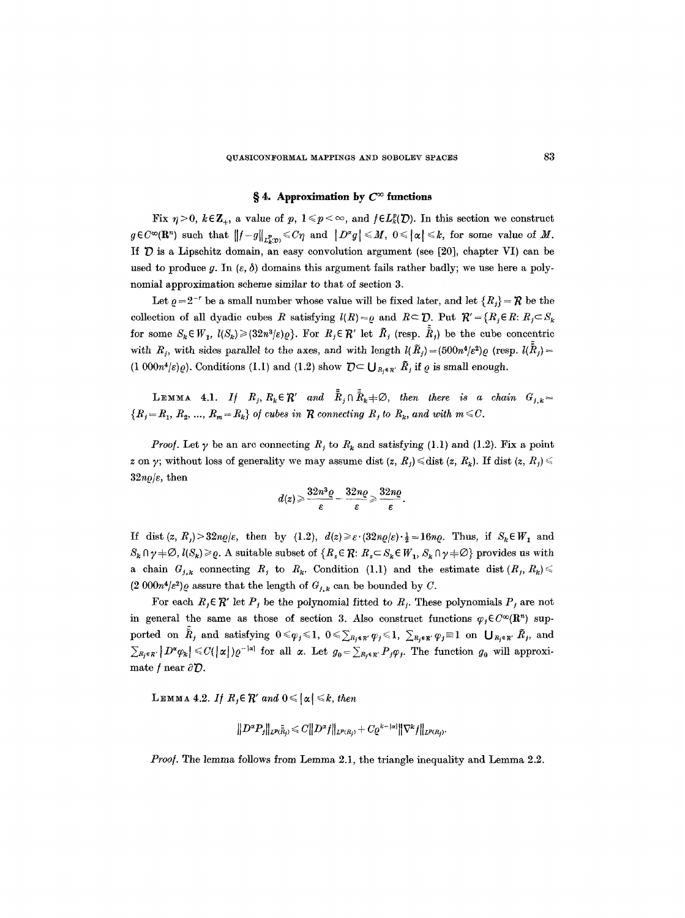## $\S 4.$  Approximation by  $C^{\infty}$  functions

Fix  $\eta > 0$ ,  $k \in \mathbb{Z}_+$ , a value of p,  $1 \leq p < \infty$ , and  $f \in L_k^p(\mathcal{D})$ . In this section we construct  $g \in C^{\infty}(\mathbf{R}^n)$  such that  $||f-g||_{L^p(x)} \leq C\eta$  and  $|D^{\alpha}g| \leq M$ ,  $0 \leq |\alpha| \leq k$ , for some value of M. If  $D$  is a Lipschitz domain, an easy convolution argument (see [20], chapter VI) can be used to produce g. In  $(\varepsilon, \delta)$  domains this argument fails rather badly; we use here a polynomial approximation scheme similar to that of section 3.

Let  $\rho = 2^{-r}$  be a small number whose value will be fixed later, and let  ${R<sub>j</sub>} = R$  be the collection of all dyadic cubes R satisfying  $l(R)=\rho$  and  $R\subset \mathcal{D}$ . Put  $\mathcal{R}'=\{R_i\in R: R_i\subset S_k\}$ for some  $S_k \in W_1$ ,  $l(S_k) \geq (32n^3/\varepsilon)\varrho$ . For  $R_j \in \mathcal{R}'$  let  $\tilde{R}_j$  (resp.  $\tilde{R}_j$ ) be the cube concentric with  $R_j$ , with sides parallel to the axes, and with length  $l(\tilde{R}_j)=(500n^4/\varepsilon^2)\varrho$  (resp.  $l(\tilde{R}_j)=$  $(1\ 000n^4/\varepsilon)\varrho$ . Conditions (1.1) and (1.2) show  $\mathcal{D} \subset \bigcup_{R_i \in \mathbb{R}'} \tilde{R}_i$  if  $\varrho$  is small enough.

LEMMA 4.1. If  $R_i, R_k \in \mathbb{R}'$  and  $\tilde{R}_i \cap \tilde{R}_k \neq \emptyset$ , then there is a chain  $G_{i,k} =$  ${R_i = R_1, R_2, ..., R_m = R_k}$  of cubes in R connecting R<sub>i</sub> to  $R_k$ , and with  $m \leq C$ .

*Proof.* Let  $\gamma$  be an arc connecting  $R_i$  to  $R_k$  and satisfying (1.1) and (1.2). Fix a point z on y; without loss of generality we may assume dist  $(z, R_i) \leq \text{dist } (z, R_k)$ . If dist  $(z, R_i) \leq$  $32n\rho/\varepsilon$ , then

$$
d(z) \geqslant \frac{32n^3\varrho}{\varepsilon} - \frac{32n\varrho}{\varepsilon} \geqslant \frac{32n\varrho}{\varepsilon}
$$

If dist  $(z, R_i) > 32n\rho/\varepsilon$ , then by (1.2),  $d(z) \geq \varepsilon \cdot (32n\rho/\varepsilon) \cdot \frac{1}{2} = 16n\rho$ . Thus, if  $S_k \in W_1$  and  $S_k \cap \gamma \neq \emptyset$ ,  $l(S_k) \geq \varrho$ . A suitable subset of  $\{R_s \in \mathcal{R} : R_s \subset S_k \in W_1, S_k \cap \gamma \neq \emptyset\}$  provides us with a chain  $G_{j,k}$  connecting  $R_j$  to  $R_k$ . Condition (1.1) and the estimate dist  $(R_j, R_k)$  $(2\ 000n^4/\varepsilon^2)\varrho$  assure that the length of  $G_{j,k}$  can be bounded by C.

For each  $R_i \in \mathcal{R}'$  let  $P_i$  be the polynomial fitted to  $R_i$ . These polynomials  $P_i$  are not in general the same as those of section 3. Also construct functions  $\varphi_j \in C^{\infty}(\mathbb{R}^n)$  supported on  $\tilde{R}_j$  and satisfying  $0 \le \varphi_j \le 1$ ,  $0 \le \sum_{R_j \in R'} \varphi_j \le 1$ ,  $\sum_{R_j \in R'} \varphi_j \equiv 1$  on  $\bigcup_{R_j \in R'} \tilde{R}_j$ , and  $\sum_{R_i \in \mathbb{R}'} |D^{\alpha} \varphi_k| \leq C(|\alpha|) \varrho^{-|\alpha|}$  for all  $\alpha$ . Let  $g_0 = \sum_{R_i \in \mathbb{R}'} P_j \varphi_j$ . The function  $g_0$  will approximate  $f$  near  $\partial \mathcal{D}$ .

LEMMA 4.2. If  $R_i \in \mathbb{R}'$  and  $0 \leq |\alpha| \leq k$ , then

$$
\|D^\alpha P_j\|_{L^{p}(\widetilde{R}_j)} \leqslant C \|D^\alpha f\|_{L^{p}(R_j)} + C \varrho^{k-|\alpha|} \|\nabla^k f\|_{L^{p}(R_j)}.
$$

*Proof.* The lemma follows from Lemma 2.1, the triangle inequality and Lemma 2.2.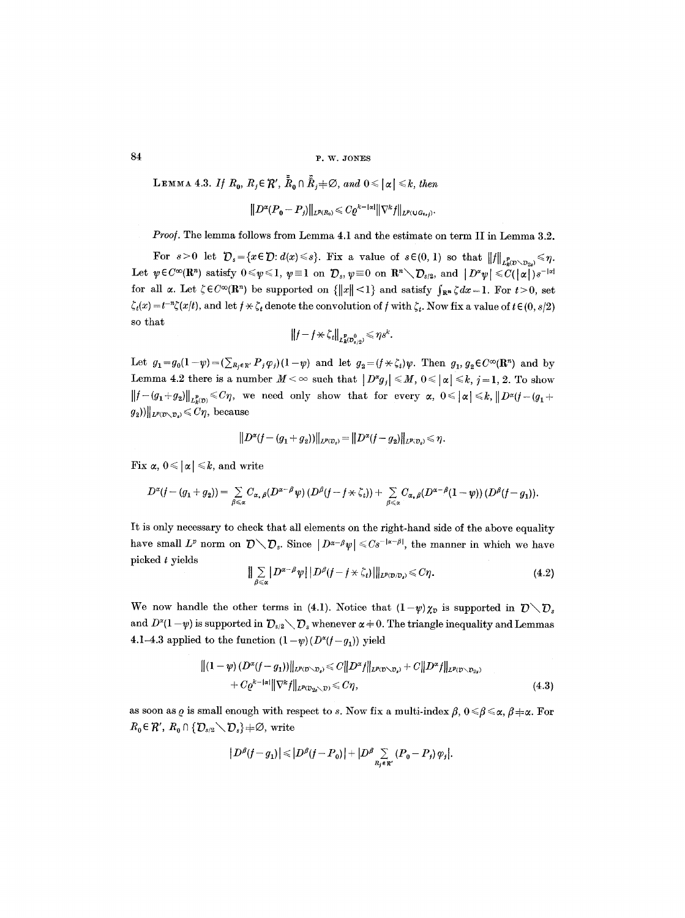LEMMA 4.3. If  $R_0$ ,  $R_j \in \mathcal{R}'$ ,  $\tilde{R}_0 \cap \tilde{R}_j \neq \emptyset$ , and  $0 \leq |\alpha| \leq k$ , then

$$
||D^{\alpha}(P_0-P_j)||_{L^{p}(R_0)} \leqslant C\varrho^{k-|\alpha|}||\nabla^k f||_{L^{p}(\mathsf{U}G_{0,j})}.
$$

*Proof.* The lemma follows from Lemma 4.1 and the estimate on term II in Lemma 3.2.

For  $s>0$  let  $\mathcal{D}_s = \{x \in \mathcal{D}: d(x) \leq s\}$ . Fix a value of  $s \in (0, 1)$  so that  $||f||_{L^p_k(\mathcal{D} \setminus \mathcal{D}_{2s})} \leq \eta$ . Let  $\psi \in C^{\infty}(\mathbb{R}^n)$  satisfy  $0 \le \psi \le 1$ ,  $\psi \equiv 1$  on  $\mathcal{D}_s$ ,  $\psi \equiv 0$  on  $\mathbb{R}^n \setminus \mathcal{D}_{s/2}$ , and  $|D^{\alpha}\psi| \le C(|\alpha|)s^{-|\alpha|}$ for all  $\alpha$ . Let  $\zeta \in C^{\infty}(\mathbb{R}^n)$  be supported on  $\{\|x\| \leq 1\}$  and satisfy  $\int_{\mathbb{R}^n} \zeta dx = 1$ . For  $t > 0$ , set  $\zeta_t(x) = t^{-n}\zeta(x/t)$ , and let  $f \times \zeta_t$  denote the convolution of f with  $\zeta_t$ . Now fix a value of  $t \in (0, s/2)$ so that

$$
\big\|f-f\!\nprec \zeta_t\big\|_{L^p_{\boldsymbol{k}(\mathcal{D}_{\boldsymbol{k}(\boldsymbol{\theta})}^0)}}\!\leqslant \eta s^k.
$$

Let  $g_1=g_0(1-\psi)=(\sum_{R_i\in\mathbb{R}'}P_j\varphi_i)(1-\psi)$  and let  $g_2=(f\star\zeta_t)\psi$ . Then  $g_1, g_2\in C^{\infty}(\mathbb{R}^n)$  and by Lemma 4.2 there is a number  $M < \infty$  such that  $|D^{\alpha}g_j| \leq M$ ,  $0 \leq |\alpha| \leq k$ ,  $j = 1, 2$ . To show  $\|f-(g_1+g_2)\|_{L^p_{\kappa}(\mathcal{D})}\leq C\eta$ , we need only show that for every  $\alpha, 0\leqslant |\alpha|\leqslant k, \|D^{\alpha}(f-(g_1+g_2)\|_{L^p_{\kappa}(\mathcal{D})})$  $g_2$ ))||<sub>L<sup>p</sup>( $\mathcal{D}_\mathcal{D}$ ,  $\leqslant C\eta$ , because</sub>

$$
\big\|D^\alpha (f-(g_1+g_2))\big\|_{L^p(\mathcal{D}_s)}=\big\|D^\alpha (f-g_2)\big\|_{L^p(\mathcal{D}_s)}\leqslant \eta.
$$

Fix  $\alpha$ ,  $0 \leq |\alpha| \leq k$ , and write

$$
D^{\alpha}(f-(g_1+g_2))=\sum_{\beta\leqslant\alpha}C_{\alpha,\beta}(D^{\alpha-\beta}\psi)(D^{\beta}(f-f\star\zeta_t))+\sum_{\beta\leqslant\alpha}C_{\alpha,\beta}(D^{\alpha-\beta}(1-\psi))(D^{\beta}(f-g_1)).
$$

It is only necessary to check that all elements on the right-hand side of the above equality have small  $L^p$  norm on  $\mathcal{D}\setminus\mathcal{D}_s$ . Since  $|D^{\alpha-\beta}\psi|\leqslant Cs^{-|\alpha-\beta|}$ , the manner in which we have picked t yields

$$
\|\sum_{\beta\leqslant\alpha}|D^{\alpha-\beta}\psi|\,|D^{\beta}(f-f\star\zeta_t)|\|_{L^p(\mathcal{D}/\mathcal{D}_\delta)}\leqslant C\eta.\tag{4.2}
$$

We now handle the other terms in (4.1). Notice that  $(1-\psi)\chi_{\overline{\nu}}$  is supported in  $\overline{\nu} \setminus \overline{\nu}_s$ and  $D^{\alpha}(1-\psi)$  is supported in  $\mathcal{D}_{s/2}\setminus\mathcal{D}_s$  whenever  $\alpha \neq 0$ . The triangle inequality and Lemmas 4.1-4.3 applied to the function  $(1 - \psi)(D^{\alpha}(f - g_1))$  yield

$$
\begin{aligned} ||(1-\psi)(D^{\alpha}(f-g_1))||_{L^{p}(D\setminus D_{\delta})} &\leq C||D^{\alpha}f||_{L^{p}(D\setminus D_{\delta})} + C||D^{\alpha}f||_{L^{p}(D\setminus D_{2\delta})} \\ &+ C\varrho^{k-|\alpha|}||\nabla^{k}f||_{L^{p}(D_{2\delta}\setminus D)} &\leq C\eta, \end{aligned} \tag{4.3}
$$

as soon as  $\varrho$  is small enough with respect to s. Now fix a multi-index  $\beta$ ,  $0 \le \beta \le \alpha$ ,  $\beta + \alpha$ . For  $R_0 \in \mathcal{R}'$ ,  $R_0 \cap {\mathcal{D}_{s/2} \setminus \mathcal{D}_s} \neq \emptyset$ , write

$$
\big|D^{\beta}(f-g_1)\big|\!\leqslant\!\big|D^{\beta}(f-P_0)\big|+\big|D^{\beta}\sum\limits_{\mathcal{R}_j\in\mathcal{R}'}\left(P_0-P_j\right)\varphi_j\big|.
$$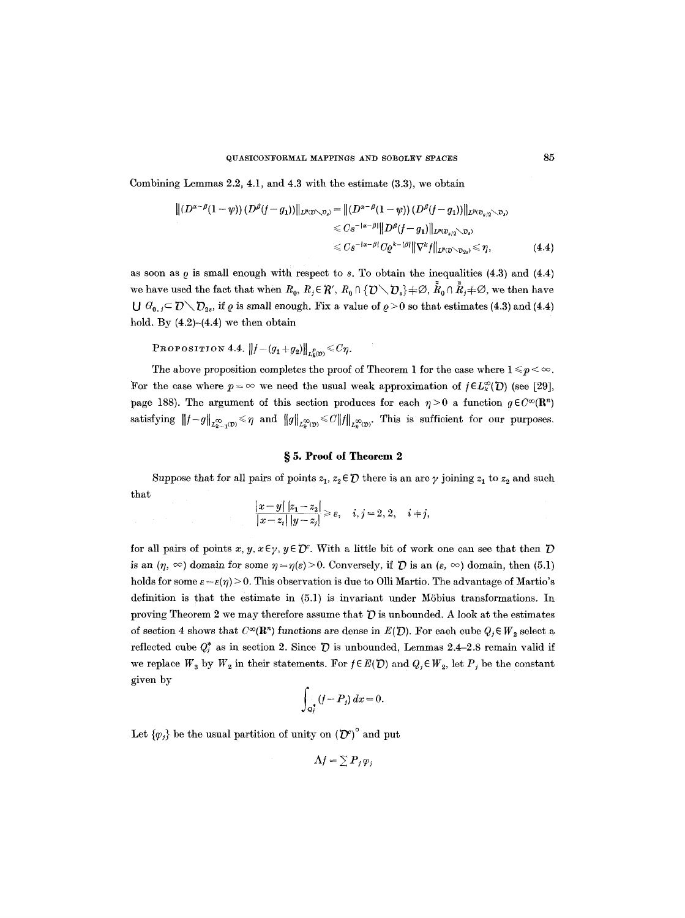Combining Lemmas 2.2, 4.1, and 4.3 with the estimate (3.3), we obtain

$$
\begin{aligned} \|(D^{\alpha-\beta}(1-\psi))(D^{\beta}(f-g_1))\|_{L^p(\mathcal{D}\setminus\mathcal{D}_s)} &= \|(D^{\alpha-\beta}(1-\psi))(D^{\beta}(f-g_1))\|_{L^p(\mathcal{D}_{s/2}\setminus\mathcal{D}_s)} \\ &\leqslant C s^{-|\alpha-\beta|} \|D^{\beta}(f-g_1)\|_{L^p(\mathcal{D}_{s/2}\setminus\mathcal{D}_s)} \\ &\leqslant C s^{-|\alpha-\beta|} C \varrho^{k-|\beta|} \|\nabla^k f\|_{L^p(\mathcal{D}\setminus\mathcal{D}_{2s})} \leqslant \eta, \end{aligned} \tag{4.4}
$$

as soon as  $\rho$  is small enough with respect to s. To obtain the inequalities (4.3) and (4.4) we have used the fact that when  $R_0, R_i \in \mathcal{R}'$ ,  $R_0 \cap \{D \setminus D_s\} \neq \emptyset$ ,  $R_0 \cap \tilde{R}_i \neq \emptyset$ , we then have  $\bigcup G_{0,j} \subset \mathcal{D} \setminus \mathcal{D}_{2s}$ , if  $\varrho$  is small enough. Fix a value of  $\varrho > 0$  so that estimates (4.3) and (4.4) hold. By  $(4.2)-(4.4)$  we then obtain

**PROPOSITION 4.4.**  $||f - (g_1 + g_2)||_{L^2(\mathcal{D})} \leq C\eta$ .

The above proposition completes the proof of Theorem 1 for the case where  $1 \leq p < \infty$ . For the case where  $p = \infty$  we need the usual weak approximation of  $f \in L^{\infty}_{\kappa}(\mathcal{D})$  (see [29], page 188). The argument of this section produces for each  $\eta > 0$  a function  $g \in C^{\infty}(\mathbb{R}^n)$ satisfying  $||f-g||_{L^{\infty}_{k-1}(D)} \leq \eta$  and  $||g||_{L^{\infty}_{k}(D)} \leq C||f||_{L^{\infty}_{k}(D)}$ . This is sufficient for our purposes.

### **w 5. Proot of Theorem 2**

Suppose that for all pairs of points  $z_1, z_2 \in \mathcal{D}$  there is an arc  $\gamma$  joining  $z_1$  to  $z_2$  and such that

$$
\frac{|x-y|\,|z_1-z_2|}{|x-z_i|\,|y-z_i|} \geqslant \varepsilon, \quad i,j=2,\,2, \quad i+j,
$$

for all pairs of points x, y,  $x \in \gamma$ ,  $y \in \mathcal{D}^c$ . With a little bit of work one can see that then  $\mathcal D$ is an  $(\eta, \infty)$  domain for some  $\eta = \eta(\varepsilon) > 0$ . Conversely, if  $\mathcal D$  is an  $(\varepsilon, \infty)$  domain, then (5.1) holds for some  $\varepsilon = \varepsilon(\eta) > 0$ . This observation is due to Olli Martio. The advantage of Martio's definition is that the estimate in (5.1) is invariant under M6bius transformations. In proving Theorem 2 we may therefore assume that  $\bar{D}$  is unbounded. A look at the estimates of section 4 shows that  $C^{\infty}(\mathbb{R}^n)$  functions are dense in  $E(D)$ . For each cube  $Q_j \in W_2$  select a reflected cube  $Q_t^*$  as in section 2. Since  $\bar{D}$  is unbounded, Lemmas 2.4-2.8 remain valid if we replace  $W_3$  by  $W_2$  in their statements. For  $f \in E(D)$  and  $Q_j \in W_2$ , let  $P_j$  be the constant given by

$$
\int_{Q_j^*} (f - P_j) \, dx = 0.
$$

Let  $\{\varphi_j\}$  be the usual partition of unity on  ${(\mathcal{D}^c)}^{\circ}$  and put

 $\Lambda f = \sum P_j \varphi_j$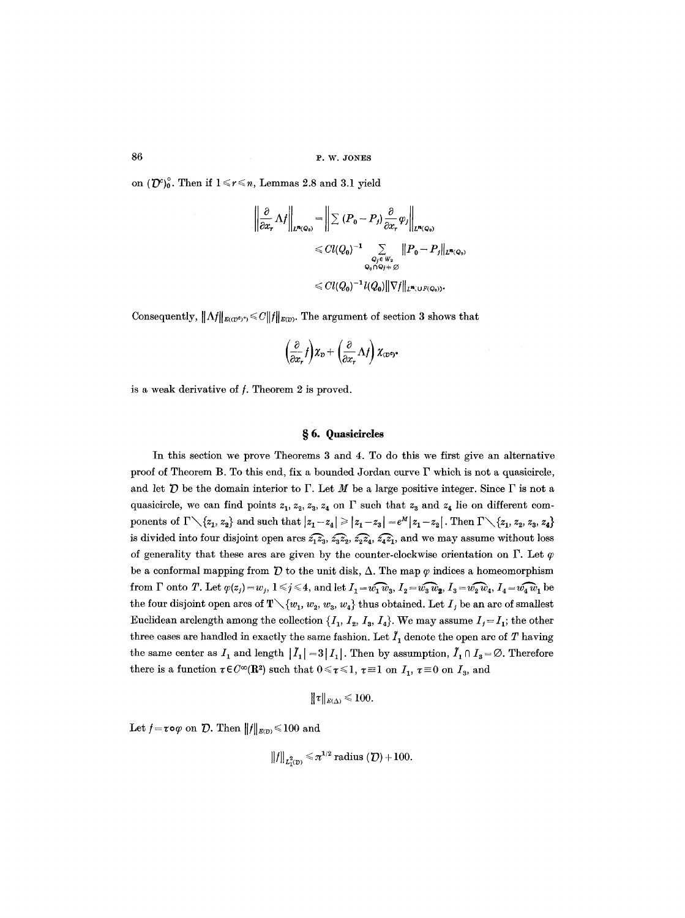on  $({\mathcal{D}}^c)_0^{\circ}$ . Then if  $1 \le r \le n$ , Lemmas 2.8 and 3.1 yield

$$
\left\| \frac{\partial}{\partial x_r} \Lambda f \right\|_{L^{n}(Q_0)} = \left\| \sum (P_0 - P_j) \frac{\partial}{\partial x_r} \varphi_j \right\|_{L^{n}(Q_0)}
$$
  
\n
$$
\leq C l(Q_0)^{-1} \sum_{\substack{Q_r \in W_2 \\ Q_0 \cap Q_j \neq \varnothing}} \|P_0 - P_j\|_{L^{n}(Q_0)}
$$
  
\n
$$
\leq C l(Q_0)^{-1} l(Q_0) \|\nabla f\|_{L^{n}(U^c(Q_0))}.
$$

Consequently,  $||\Lambda f||_{E((D^e)^c)} \leq C||f||_{E(D)}$ . The argument of section 3 shows that

$$
\left(\frac{\partial}{\partial x_r}f\right)\chi_{\mathcal{D}} + \left(\frac{\partial}{\partial x_r}\Lambda f\right)\chi_{(\mathcal{D}^{\mathfrak{q}})^*}
$$

is a weak derivative of  $f$ . Theorem  $2$  is proved.

#### **w 6. Quasicircles**

In this section we prove Theorems 3 and 4. To do this we first give an alternative proof of Theorem B. To this end, fix a hounded Jordan curve F which is not a quasicircle, and let  $\mathcal D$  be the domain interior to  $\Gamma$ . Let M be a large positive integer. Since  $\Gamma$  is not a quasicircle, we can find points  $z_1, z_2, z_3, z_4$  on  $\Gamma$  such that  $z_3$  and  $z_4$  lie on different components of  $\Gamma \setminus \{z_1, z_2\}$  and such that  $|z_1 - z_4| \geq |z_1 - z_3| = e^M |z_1 - z_2|$ . Then  $\Gamma \setminus \{z_1, z_2, z_3, z_4\}$ is divided into four disjoint open arcs  $\widehat{z_1z_3}$ ,  $\widehat{z_3z_2}$ ,  $\widehat{z_2z_4}$ ,  $\widehat{z_4z_1}$ , and we may assume without loss of generality that these arcs are given by the counter-clockwise orientation on  $\Gamma$ . Let  $\varphi$ be a conformal mapping from  $\bar{D}$  to the unit disk,  $\Delta$ . The map  $\varphi$  indices a homeomorphism from  $\Gamma$  onto T. Let  $\varphi(z_j)=w_j, 1 \leq j \leq 4$ , and let  $I_1 = w_1 \cap w_3$ ,  $I_2 = w_3 \cap w_2$ ,  $I_3 = w_2 \cap w_4$ ,  $I_4 = w_4 \cap w_1$  be the four disjoint open arcs of  $T\setminus \{w_1, w_2, w_3, w_4\}$  thus obtained. Let  $I_j$  be an arc of smallest Euclidean arclength among the collection  $\{I_1, I_2, I_3, I_4\}$ . We may assume  $I_j = I_1$ ; the other three cases are handled in exactly the same fashion. Let  $I_1$  denote the open arc of T having the same center as  $I_1$  and length  $|I_1| = 3|I_1|$ . Then by assumption,  $I_1 \cap I_3 = \emptyset$ . Therefore there is a function  $\tau \in C^{\infty}(\mathbb{R}^2)$  such that  $0 \le \tau \le 1$ ,  $\tau \equiv 1$  on  $I_1$ ,  $\tau \equiv 0$  on  $I_3$ , and

$$
\|\tau\|_{\scriptscriptstyle E(\Delta)}\,{\leqslant}\,100
$$

Let  $f = \tau \circ \varphi$  on  $\mathcal{D}$ . Then  $||f||_{E(D)} \leq 100$  and

$$
||f||_{L^2(\mathcal{D})} \leq \pi^{1/2} \text{ radius } (\mathcal{D}) + 100.
$$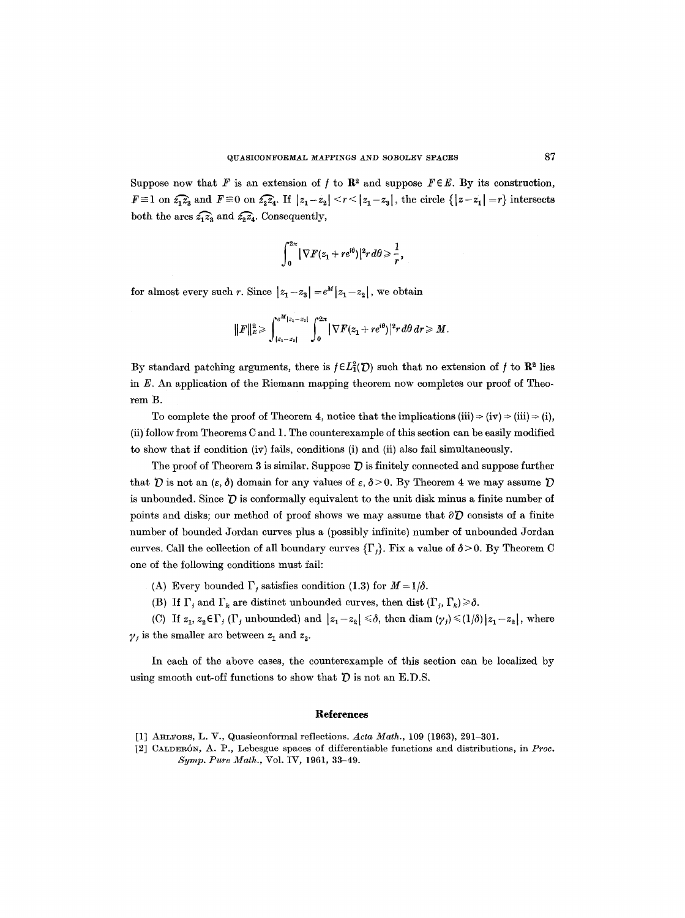Suppose now that F is an extension of f to  $\mathbb{R}^2$  and suppose  $F \in E$ . By its construction,  $F \equiv 1$  on  $\widehat{z_1 z_3}$  and  $F \equiv 0$  on  $\widehat{z_2 z_4}$ . If  $|z_1 - z_2| \le r \le |z_1 - z_3|$ , the circle  $\{|z - z_1| = r\}$  intersects both the arcs  $\widehat{z_1z_3}$  and  $\widehat{z_2z_4}$ . Consequently,

$$
\int_0^{2\pi} |\nabla F(z_1+re^{i\theta})|^2 r d\theta \geqslant \frac{1}{r},
$$

for almost every such r. Since  $|z_1 - z_3| = e^M |z_1 - z_2|$ , we obtain

$$
||F||_{E}^{2} \geqslant \int_{|z_{1}-z_{1}|}^{e^{M}|z_{1}-z_{2}|}\int_{0}^{2\pi} |\nabla F(z_{1}+re^{i\theta})|^{2} r\,d\theta\,dr \geqslant M.
$$

By standard patching arguments, there is  $f \in L^2(\mathcal{D})$  such that no extension of f to  $\mathbb{R}^2$  lies in  $E$ . An application of the Riemann mapping theorem now completes our proof of Theorem B.

To complete the proof of Theorem 4, notice that the implications (iii)  $\Rightarrow$  (iv)  $\Rightarrow$  (iii)  $\Rightarrow$  (i), (ii) follow from Theorems C and 1. The counterexample of this section can be easily modified to show that if condition (iv) fails, conditions (i) and (ii) also fail simultaneously.

The proof of Theorem 3 is similar. Suppose  $\overline{D}$  is finitely connected and suppose further that  $\bar{D}$  is not an  $(\varepsilon, \delta)$  domain for any values of  $\varepsilon, \delta > 0$ . By Theorem 4 we may assume  $\bar{D}$ is unbounded. Since  $\bar{U}$  is conformally equivalent to the unit disk minus a finite number of points and disks; our method of proof shows we may assume that  $\partial \mathcal{D}$  consists of a finite number of bounded Jordan curves plus a (possibly infinite) number of unbounded Jordan curves. Call the collection of all boundary curves  $\{\Gamma_j\}$ . Fix a value of  $\delta > 0$ . By Theorem C one of the following conditions must fail:

- (A) Every bounded  $\Gamma_i$  satisfies condition (1.3) for  $M = 1/\delta$ .
- (B) If  $\Gamma_j$  and  $\Gamma_k$  are distinct unbounded curves, then dist  $(\Gamma_j, \Gamma_k) \ge \delta$ .

(C) If  $z_1, z_2 \in \Gamma_j$  ( $\Gamma_j$  unbounded) and  $|z_1-z_2| \le \delta$ , then diam  $(\gamma_j) \le (1/\delta) |z_1-z_2|$ , where  $\gamma_i$  is the smaller arc between  $z_1$  and  $z_2$ .

In each of the above cases, the counterexample of this section can be localized by using smooth cut-off functions to show that  $D$  is not an E.D.S.

#### **References**

- [1] AHLFORS, L. V., Quasiconformal reflections. *Acta Math.*, 109 (1963), 291-301.
- [2] CALDERÓN, A. P., Lebesgue spaces of differentiable functions and distributions, in *Proc. Syrup. Pure Math.,* Vol. IV, 1961, 33-49.